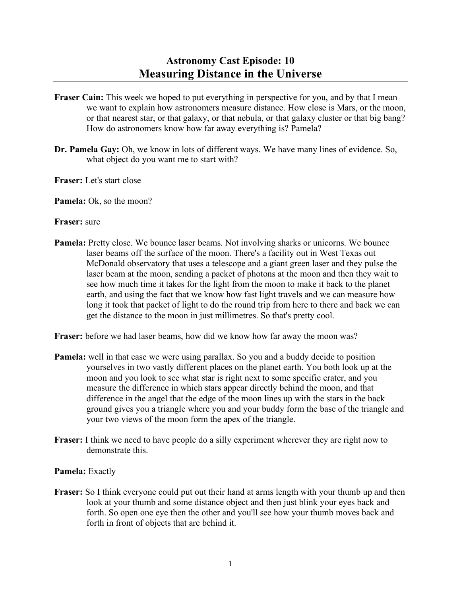- **Fraser Cain:** This week we hoped to put everything in perspective for you, and by that I mean we want to explain how astronomers measure distance. How close is Mars, or the moon, or that nearest star, or that galaxy, or that nebula, or that galaxy cluster or that big bang? How do astronomers know how far away everything is? Pamela?
- **Dr. Pamela Gay:** Oh, we know in lots of different ways. We have many lines of evidence. So, what object do you want me to start with?
- **Fraser:** Let's start close

**Pamela:** Ok, so the moon?

## **Fraser:** sure

**Pamela:** Pretty close. We bounce laser beams. Not involving sharks or unicorns. We bounce laser beams off the surface of the moon. There's a facility out in West Texas out McDonald observatory that uses a telescope and a giant green laser and they pulse the laser beam at the moon, sending a packet of photons at the moon and then they wait to see how much time it takes for the light from the moon to make it back to the planet earth, and using the fact that we know how fast light travels and we can measure how long it took that packet of light to do the round trip from here to there and back we can get the distance to the moon in just millimetres. So that's pretty cool.

**Fraser:** before we had laser beams, how did we know how far away the moon was?

- **Pamela:** well in that case we were using parallax. So you and a buddy decide to position yourselves in two vastly different places on the planet earth. You both look up at the moon and you look to see what star is right next to some specific crater, and you measure the difference in which stars appear directly behind the moon, and that difference in the angel that the edge of the moon lines up with the stars in the back ground gives you a triangle where you and your buddy form the base of the triangle and your two views of the moon form the apex of the triangle.
- **Fraser:** I think we need to have people do a silly experiment wherever they are right now to demonstrate this.

## **Pamela:** Exactly

**Fraser:** So I think everyone could put out their hand at arms length with your thumb up and then look at your thumb and some distance object and then just blink your eyes back and forth. So open one eye then the other and you'll see how your thumb moves back and forth in front of objects that are behind it.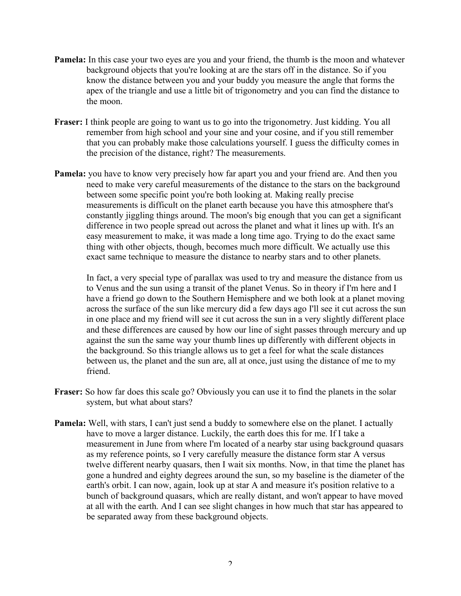- **Pamela:** In this case your two eyes are you and your friend, the thumb is the moon and whatever background objects that you're looking at are the stars off in the distance. So if you know the distance between you and your buddy you measure the angle that forms the apex of the triangle and use a little bit of trigonometry and you can find the distance to the moon.
- **Fraser:** I think people are going to want us to go into the trigonometry. Just kidding. You all remember from high school and your sine and your cosine, and if you still remember that you can probably make those calculations yourself. I guess the difficulty comes in the precision of the distance, right? The measurements.
- **Pamela:** you have to know very precisely how far apart you and your friend are. And then you need to make very careful measurements of the distance to the stars on the background between some specific point you're both looking at. Making really precise measurements is difficult on the planet earth because you have this atmosphere that's constantly jiggling things around. The moon's big enough that you can get a significant difference in two people spread out across the planet and what it lines up with. It's an easy measurement to make, it was made a long time ago. Trying to do the exact same thing with other objects, though, becomes much more difficult. We actually use this exact same technique to measure the distance to nearby stars and to other planets.

In fact, a very special type of parallax was used to try and measure the distance from us to Venus and the sun using a transit of the planet Venus. So in theory if I'm here and I have a friend go down to the Southern Hemisphere and we both look at a planet moving across the surface of the sun like mercury did a few days ago I'll see it cut across the sun in one place and my friend will see it cut across the sun in a very slightly different place and these differences are caused by how our line of sight passes through mercury and up against the sun the same way your thumb lines up differently with different objects in the background. So this triangle allows us to get a feel for what the scale distances between us, the planet and the sun are, all at once, just using the distance of me to my friend.

- **Fraser:** So how far does this scale go? Obviously you can use it to find the planets in the solar system, but what about stars?
- **Pamela:** Well, with stars, I can't just send a buddy to somewhere else on the planet. I actually have to move a larger distance. Luckily, the earth does this for me. If I take a measurement in June from where I'm located of a nearby star using background quasars as my reference points, so I very carefully measure the distance form star A versus twelve different nearby quasars, then I wait six months. Now, in that time the planet has gone a hundred and eighty degrees around the sun, so my baseline is the diameter of the earth's orbit. I can now, again, look up at star A and measure it's position relative to a bunch of background quasars, which are really distant, and won't appear to have moved at all with the earth. And I can see slight changes in how much that star has appeared to be separated away from these background objects.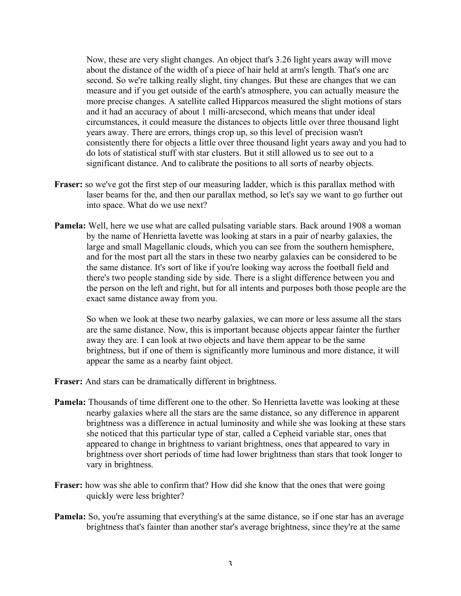Now, these are very slight changes. An object that's 3.26 light years away will move about the distance of the width of a piece of hair held at arm's length. That's one arc second. So we're talking really slight, tiny changes. But these are changes that we can measure and if you get outside of the earth's atmosphere, you can actually measure the more precise changes. A satellite called Hipparcos measured the slight motions of stars and it had an accuracy of about 1 milli-arcsecond, which means that under ideal circumstances, it could measure the distances to objects little over three thousand light years away. There are errors, things crop up, so this level of precision wasn't consistently there for objects a little over three thousand light years away and you had to do lots of statistical stuff with star clusters. But it still allowed us to see out to a significant distance. And to calibrate the positions to all sorts of nearby objects.

- **Fraser:** so we've got the first step of our measuring ladder, which is this parallax method with laser beams for the, and then our parallax method, so let's say we want to go further out into space. What do we use next?
- **Pamela:** Well, here we use what are called pulsating variable stars. Back around 1908 a woman by the name of Henrietta lavette was looking at stars in a pair of nearby galaxies, the large and small Magellanic clouds, which you can see from the southern hemisphere, and for the most part all the stars in these two nearby galaxies can be considered to be the same distance. It's sort of like if you're looking way across the football field and there's two people standing side by side. There is a slight difference between you and the person on the left and right, but for all intents and purposes both those people are the exact same distance away from you.

So when we look at these two nearby galaxies, we can more or less assume all the stars are the same distance. Now, this is important because objects appear fainter the further away they are. I can look at two objects and have them appear to be the same brightness, but if one of them is significantly more luminous and more distance, it will appear the same as a nearby faint object.

- **Fraser:** And stars can be dramatically different in brightness.
- **Pamela:** Thousands of time different one to the other. So Henrietta lavette was looking at these nearby galaxies where all the stars are the same distance, so any difference in apparent brightness was a difference in actual luminosity and while she was looking at these stars she noticed that this particular type of star, called a Cepheid variable star, ones that appeared to change in brightness to variant brightness, ones that appeared to vary in brightness over short periods of time had lower brightness than stars that took longer to vary in brightness.
- **Fraser:** how was she able to confirm that? How did she know that the ones that were going quickly were less brighter?
- **Pamela:** So, you're assuming that everything's at the same distance, so if one star has an average brightness that's fainter than another star's average brightness, since they're at the same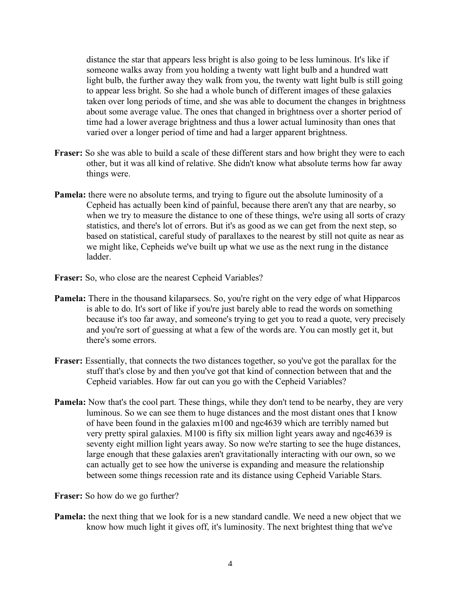distance the star that appears less bright is also going to be less luminous. It's like if someone walks away from you holding a twenty watt light bulb and a hundred watt light bulb, the further away they walk from you, the twenty watt light bulb is still going to appear less bright. So she had a whole bunch of different images of these galaxies taken over long periods of time, and she was able to document the changes in brightness about some average value. The ones that changed in brightness over a shorter period of time had a lower average brightness and thus a lower actual luminosity than ones that varied over a longer period of time and had a larger apparent brightness.

- **Fraser:** So she was able to build a scale of these different stars and how bright they were to each other, but it was all kind of relative. She didn't know what absolute terms how far away things were.
- **Pamela:** there were no absolute terms, and trying to figure out the absolute luminosity of a Cepheid has actually been kind of painful, because there aren't any that are nearby, so when we try to measure the distance to one of these things, we're using all sorts of crazy statistics, and there's lot of errors. But it's as good as we can get from the next step, so based on statistical, careful study of parallaxes to the nearest by still not quite as near as we might like, Cepheids we've built up what we use as the next rung in the distance ladder.
- **Fraser:** So, who close are the nearest Cepheid Variables?
- **Pamela:** There in the thousand kilaparsecs. So, you're right on the very edge of what Hipparcos is able to do. It's sort of like if you're just barely able to read the words on something because it's too far away, and someone's trying to get you to read a quote, very precisely and you're sort of guessing at what a few of the words are. You can mostly get it, but there's some errors.
- **Fraser:** Essentially, that connects the two distances together, so you've got the parallax for the stuff that's close by and then you've got that kind of connection between that and the Cepheid variables. How far out can you go with the Cepheid Variables?
- **Pamela:** Now that's the cool part. These things, while they don't tend to be nearby, they are very luminous. So we can see them to huge distances and the most distant ones that I know of have been found in the galaxies m100 and ngc4639 which are terribly named but very pretty spiral galaxies. M100 is fifty six million light years away and ngc4639 is seventy eight million light years away. So now we're starting to see the huge distances, large enough that these galaxies aren't gravitationally interacting with our own, so we can actually get to see how the universe is expanding and measure the relationship between some things recession rate and its distance using Cepheid Variable Stars.

**Fraser:** So how do we go further?

**Pamela:** the next thing that we look for is a new standard candle. We need a new object that we know how much light it gives off, it's luminosity. The next brightest thing that we've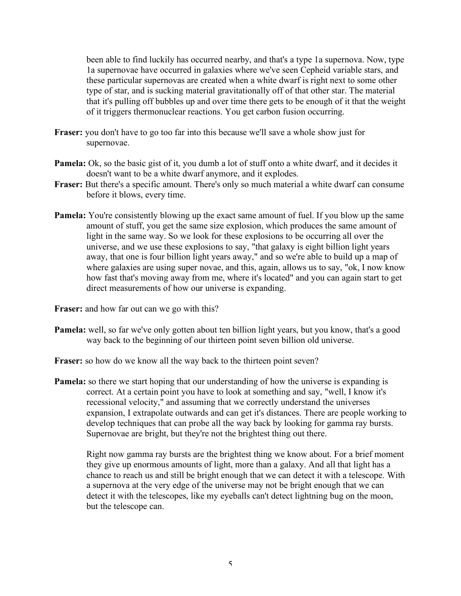been able to find luckily has occurred nearby, and that's a type 1a supernova. Now, type 1a supernovae have occurred in galaxies where we've seen Cepheid variable stars, and these particular supernovas are created when a white dwarf is right next to some other type of star, and is sucking material gravitationally off of that other star. The material that it's pulling off bubbles up and over time there gets to be enough of it that the weight of it triggers thermonuclear reactions. You get carbon fusion occurring.

- **Fraser:** you don't have to go too far into this because we'll save a whole show just for supernovae.
- **Pamela:** Ok, so the basic gist of it, you dumb a lot of stuff onto a white dwarf, and it decides it doesn't want to be a white dwarf anymore, and it explodes.
- **Fraser:** But there's a specific amount. There's only so much material a white dwarf can consume before it blows, every time.
- **Pamela:** You're consistently blowing up the exact same amount of fuel. If you blow up the same amount of stuff, you get the same size explosion, which produces the same amount of light in the same way. So we look for these explosions to be occurring all over the universe, and we use these explosions to say, "that galaxy is eight billion light years away, that one is four billion light years away," and so we're able to build up a map of where galaxies are using super novae, and this, again, allows us to say, "ok, I now know how fast that's moving away from me, where it's located" and you can again start to get direct measurements of how our universe is expanding.

**Fraser:** and how far out can we go with this?

**Pamela:** well, so far we've only gotten about ten billion light years, but you know, that's a good way back to the beginning of our thirteen point seven billion old universe.

**Fraser:** so how do we know all the way back to the thirteen point seven?

**Pamela:** so there we start hoping that our understanding of how the universe is expanding is correct. At a certain point you have to look at something and say, "well, I know it's recessional velocity," and assuming that we correctly understand the universes expansion, I extrapolate outwards and can get it's distances. There are people working to develop techniques that can probe all the way back by looking for gamma ray bursts. Supernovae are bright, but they're not the brightest thing out there.

Right now gamma ray bursts are the brightest thing we know about. For a brief moment they give up enormous amounts of light, more than a galaxy. And all that light has a chance to reach us and still be bright enough that we can detect it with a telescope. With a supernova at the very edge of the universe may not be bright enough that we can detect it with the telescopes, like my eyeballs can't detect lightning bug on the moon, but the telescope can.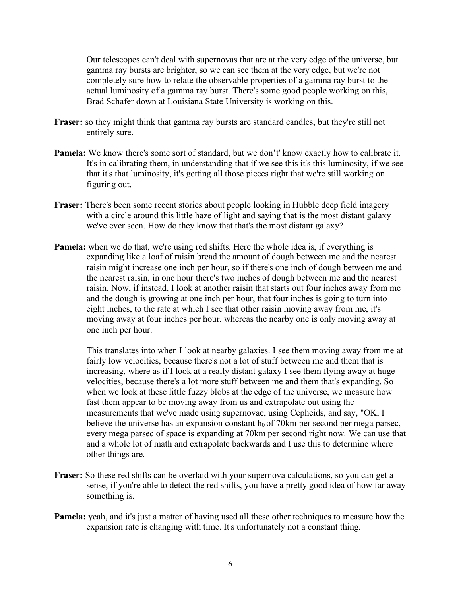Our telescopes can't deal with supernovas that are at the very edge of the universe, but gamma ray bursts are brighter, so we can see them at the very edge, but we're not completely sure how to relate the observable properties of a gamma ray burst to the actual luminosity of a gamma ray burst. There's some good people working on this, Brad Schafer down at Louisiana State University is working on this.

- **Fraser:** so they might think that gamma ray bursts are standard candles, but they're still not entirely sure.
- **Pamela:** We know there's some sort of standard, but we don't' know exactly how to calibrate it. It's in calibrating them, in understanding that if we see this it's this luminosity, if we see that it's that luminosity, it's getting all those pieces right that we're still working on figuring out.
- **Fraser:** There's been some recent stories about people looking in Hubble deep field imagery with a circle around this little haze of light and saying that is the most distant galaxy we've ever seen. How do they know that that's the most distant galaxy?
- **Pamela:** when we do that, we're using red shifts. Here the whole idea is, if everything is expanding like a loaf of raisin bread the amount of dough between me and the nearest raisin might increase one inch per hour, so if there's one inch of dough between me and the nearest raisin, in one hour there's two inches of dough between me and the nearest raisin. Now, if instead, I look at another raisin that starts out four inches away from me and the dough is growing at one inch per hour, that four inches is going to turn into eight inches, to the rate at which I see that other raisin moving away from me, it's moving away at four inches per hour, whereas the nearby one is only moving away at one inch per hour.

This translates into when I look at nearby galaxies. I see them moving away from me at fairly low velocities, because there's not a lot of stuff between me and them that is increasing, where as if I look at a really distant galaxy I see them flying away at huge velocities, because there's a lot more stuff between me and them that's expanding. So when we look at these little fuzzy blobs at the edge of the universe, we measure how fast them appear to be moving away from us and extrapolate out using the measurements that we've made using supernovae, using Cepheids, and say, "OK, I believe the universe has an expansion constant  $h_0$  of 70km per second per mega parsec, every mega parsec of space is expanding at 70km per second right now. We can use that and a whole lot of math and extrapolate backwards and I use this to determine where other things are.

- **Fraser:** So these red shifts can be overlaid with your supernova calculations, so you can get a sense, if you're able to detect the red shifts, you have a pretty good idea of how far away something is.
- **Pamela:** yeah, and it's just a matter of having used all these other techniques to measure how the expansion rate is changing with time. It's unfortunately not a constant thing.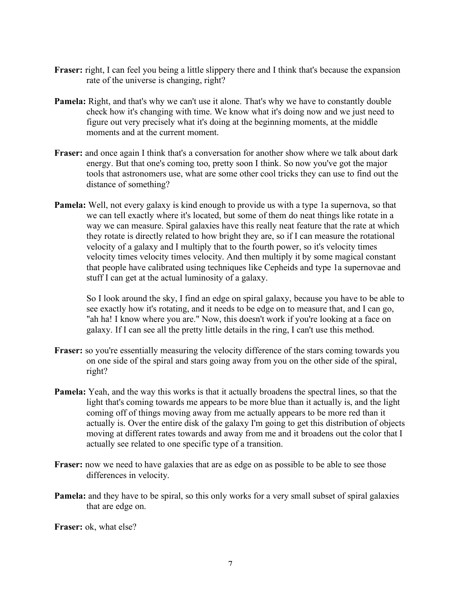- **Fraser:** right, I can feel you being a little slippery there and I think that's because the expansion rate of the universe is changing, right?
- **Pamela:** Right, and that's why we can't use it alone. That's why we have to constantly double check how it's changing with time. We know what it's doing now and we just need to figure out very precisely what it's doing at the beginning moments, at the middle moments and at the current moment.
- **Fraser:** and once again I think that's a conversation for another show where we talk about dark energy. But that one's coming too, pretty soon I think. So now you've got the major tools that astronomers use, what are some other cool tricks they can use to find out the distance of something?
- **Pamela:** Well, not every galaxy is kind enough to provide us with a type 1a supernova, so that we can tell exactly where it's located, but some of them do neat things like rotate in a way we can measure. Spiral galaxies have this really neat feature that the rate at which they rotate is directly related to how bright they are, so if I can measure the rotational velocity of a galaxy and I multiply that to the fourth power, so it's velocity times velocity times velocity times velocity. And then multiply it by some magical constant that people have calibrated using techniques like Cepheids and type 1a supernovae and stuff I can get at the actual luminosity of a galaxy.

So I look around the sky, I find an edge on spiral galaxy, because you have to be able to see exactly how it's rotating, and it needs to be edge on to measure that, and I can go, "ah ha! I know where you are." Now, this doesn't work if you're looking at a face on galaxy. If I can see all the pretty little details in the ring, I can't use this method.

- **Fraser:** so you're essentially measuring the velocity difference of the stars coming towards you on one side of the spiral and stars going away from you on the other side of the spiral, right?
- **Pamela:** Yeah, and the way this works is that it actually broadens the spectral lines, so that the light that's coming towards me appears to be more blue than it actually is, and the light coming off of things moving away from me actually appears to be more red than it actually is. Over the entire disk of the galaxy I'm going to get this distribution of objects moving at different rates towards and away from me and it broadens out the color that I actually see related to one specific type of a transition.
- **Fraser:** now we need to have galaxies that are as edge on as possible to be able to see those differences in velocity.
- **Pamela:** and they have to be spiral, so this only works for a very small subset of spiral galaxies that are edge on.

**Fraser:** ok, what else?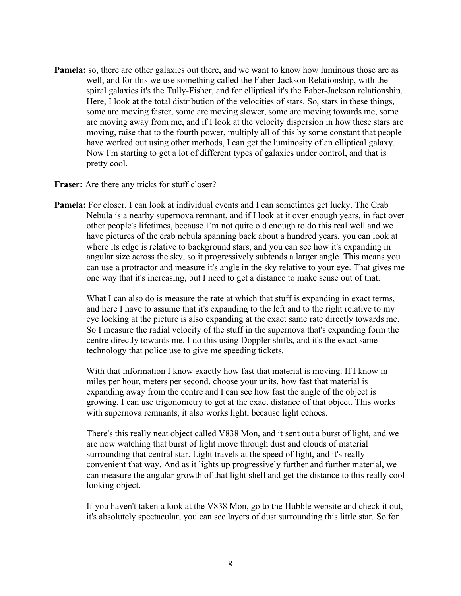**Pamela:** so, there are other galaxies out there, and we want to know how luminous those are as well, and for this we use something called the Faber-Jackson Relationship, with the spiral galaxies it's the Tully-Fisher, and for elliptical it's the Faber-Jackson relationship. Here, I look at the total distribution of the velocities of stars. So, stars in these things, some are moving faster, some are moving slower, some are moving towards me, some are moving away from me, and if I look at the velocity dispersion in how these stars are moving, raise that to the fourth power, multiply all of this by some constant that people have worked out using other methods, I can get the luminosity of an elliptical galaxy. Now I'm starting to get a lot of different types of galaxies under control, and that is pretty cool.

**Fraser:** Are there any tricks for stuff closer?

**Pamela:** For closer, I can look at individual events and I can sometimes get lucky. The Crab Nebula is a nearby supernova remnant, and if I look at it over enough years, in fact over other people's lifetimes, because I'm not quite old enough to do this real well and we have pictures of the crab nebula spanning back about a hundred years, you can look at where its edge is relative to background stars, and you can see how it's expanding in angular size across the sky, so it progressively subtends a larger angle. This means you can use a protractor and measure it's angle in the sky relative to your eye. That gives me one way that it's increasing, but I need to get a distance to make sense out of that.

What I can also do is measure the rate at which that stuff is expanding in exact terms, and here I have to assume that it's expanding to the left and to the right relative to my eye looking at the picture is also expanding at the exact same rate directly towards me. So I measure the radial velocity of the stuff in the supernova that's expanding form the centre directly towards me. I do this using Doppler shifts, and it's the exact same technology that police use to give me speeding tickets.

With that information I know exactly how fast that material is moving. If I know in miles per hour, meters per second, choose your units, how fast that material is expanding away from the centre and I can see how fast the angle of the object is growing, I can use trigonometry to get at the exact distance of that object. This works with supernova remnants, it also works light, because light echoes.

There's this really neat object called V838 Mon, and it sent out a burst of light, and we are now watching that burst of light move through dust and clouds of material surrounding that central star. Light travels at the speed of light, and it's really convenient that way. And as it lights up progressively further and further material, we can measure the angular growth of that light shell and get the distance to this really cool looking object.

If you haven't taken a look at the V838 Mon, go to the Hubble website and check it out, it's absolutely spectacular, you can see layers of dust surrounding this little star. So for